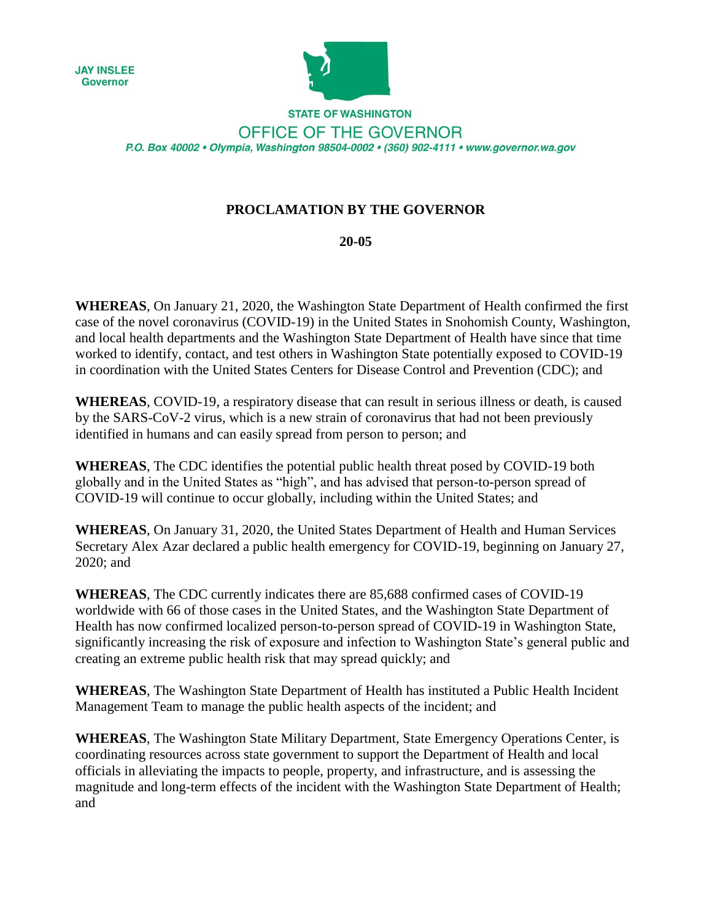



**STATE OF WASHINGTON** OFFICE OF THE GOVERNOR P.O. Box 40002 · Olympia, Washington 98504-0002 · (360) 902-4111 · www.governor.wa.gov

## **PROCLAMATION BY THE GOVERNOR**

## **20-05**

**WHEREAS**, On January 21, 2020, the Washington State Department of Health confirmed the first case of the novel coronavirus (COVID-19) in the United States in Snohomish County, Washington, and local health departments and the Washington State Department of Health have since that time worked to identify, contact, and test others in Washington State potentially exposed to COVID-19 in coordination with the United States Centers for Disease Control and Prevention (CDC); and

**WHEREAS**, COVID-19, a respiratory disease that can result in serious illness or death, is caused by the SARS-CoV-2 virus, which is a new strain of coronavirus that had not been previously identified in humans and can easily spread from person to person; and

**WHEREAS**, The CDC identifies the potential public health threat posed by COVID-19 both globally and in the United States as "high", and has advised that person-to-person spread of COVID-19 will continue to occur globally, including within the United States; and

**WHEREAS**, On January 31, 2020, the United States Department of Health and Human Services Secretary Alex Azar declared a public health emergency for COVID-19, beginning on January 27, 2020; and

**WHEREAS**, The CDC currently indicates there are 85,688 confirmed cases of COVID-19 worldwide with 66 of those cases in the United States, and the Washington State Department of Health has now confirmed localized person-to-person spread of COVID-19 in Washington State, significantly increasing the risk of exposure and infection to Washington State's general public and creating an extreme public health risk that may spread quickly; and

**WHEREAS**, The Washington State Department of Health has instituted a Public Health Incident Management Team to manage the public health aspects of the incident; and

**WHEREAS**, The Washington State Military Department, State Emergency Operations Center, is coordinating resources across state government to support the Department of Health and local officials in alleviating the impacts to people, property, and infrastructure, and is assessing the magnitude and long-term effects of the incident with the Washington State Department of Health; and